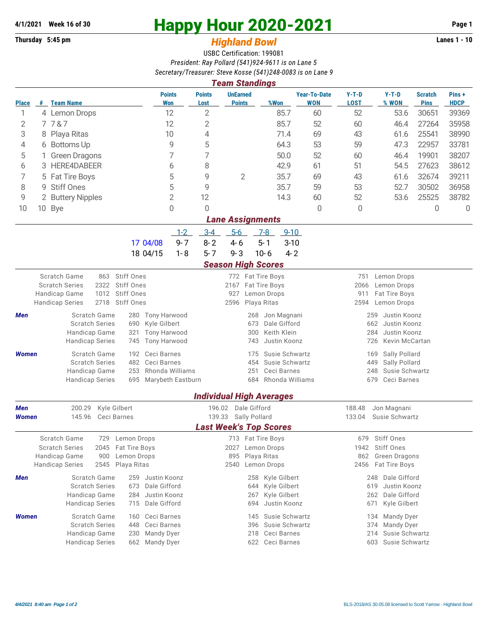## **Thursday 5:45 pm** *Highland Bowl* **Lanes 1 - 10**

## **4/1/2021 Week 16 of 30 Happy Hour 2020-2021 Page 1**

## USBC Certification: 199081 *President: Ray Pollard (541)924-9611 is on Lane 5 Secretary/Treasurer: Steve Kosse (541)248-0083 is on Lane 9*

| <b>Team Standings</b>                                                                         |                 |                                                             |                                                   |                                     |                                                       |                                            |                                |                            |                                             |                                         |                                 |                      |  |  |  |
|-----------------------------------------------------------------------------------------------|-----------------|-------------------------------------------------------------|---------------------------------------------------|-------------------------------------|-------------------------------------------------------|--------------------------------------------|--------------------------------|----------------------------|---------------------------------------------|-----------------------------------------|---------------------------------|----------------------|--|--|--|
| <b>Place</b>                                                                                  |                 | # Team Name                                                 | <b>Points</b><br>Won                              | <b>Points</b><br>Lost               |                                                       | <b>UnEarned</b><br><b>Points</b>           | %Won                           | <b>Year-To-Date</b><br>WON | $Y-T-D$<br><b>LOST</b>                      | $Y-T-D$<br>% WON                        | <b>Scratch</b><br><b>Pins</b>   | Pins+<br><b>HDCP</b> |  |  |  |
| 1                                                                                             |                 | 12<br>4 Lemon Drops                                         |                                                   |                                     | 2                                                     |                                            | 85.7                           | 60                         | 52                                          | 53.6                                    | 30651                           | 39369                |  |  |  |
| 2                                                                                             |                 | 7787                                                        | 12                                                |                                     | 2                                                     |                                            | 85.7                           | 52                         | 60                                          | 46.4                                    | 27264                           | 35958                |  |  |  |
| 3                                                                                             |                 | 8 Playa Ritas                                               | 10                                                |                                     | 4                                                     |                                            | 71.4                           | 69                         | 43                                          | 61.6                                    | 25541                           | 38990                |  |  |  |
| 4                                                                                             |                 | 9<br>6 Bottoms Up                                           |                                                   |                                     | 5                                                     |                                            | 64.3                           | 53                         | 59                                          | 47.3                                    | 22957                           | 33781                |  |  |  |
| 5                                                                                             |                 | 7<br><b>Green Dragons</b>                                   |                                                   |                                     | 7                                                     |                                            | 50.0                           | 52                         | 60                                          | 46.4                                    | 19901                           | 38207                |  |  |  |
| 6                                                                                             |                 | HERE4DABEER<br>3.                                           |                                                   | 6                                   | 8                                                     |                                            | 42.9                           | 61                         | 51                                          | 54.5                                    | 27623                           | 38612                |  |  |  |
| 7                                                                                             | 5 Fat Tire Boys |                                                             |                                                   | 5                                   | 9                                                     | $\overline{2}$                             | 35.7                           | 69                         | 43                                          | 61.6                                    | 32674                           | 39211                |  |  |  |
| 8                                                                                             |                 | 9 Stiff Ones                                                |                                                   | 5                                   | 9                                                     |                                            | 35.7                           | 59                         | 53                                          | 52.7                                    | 30502                           | 36958                |  |  |  |
| 9                                                                                             |                 | $\overline{2}$<br>2 Buttery Nipples                         |                                                   | 12                                  |                                                       |                                            | 14.3                           | 60                         | 52                                          | 53.6                                    | 25525                           | 38782                |  |  |  |
| 10                                                                                            |                 | 0<br>10 Bye                                                 |                                                   |                                     | $\Omega$                                              |                                            |                                | 0                          | $\overline{0}$                              |                                         | 0                               | $\Omega$             |  |  |  |
| <b>Lane Assignments</b>                                                                       |                 |                                                             |                                                   |                                     |                                                       |                                            |                                |                            |                                             |                                         |                                 |                      |  |  |  |
|                                                                                               |                 |                                                             |                                                   | $1 - 2$                             | $3-4$<br>$5-6$                                        |                                            | $7-8$<br>$9 - 10$              |                            |                                             |                                         |                                 |                      |  |  |  |
|                                                                                               |                 |                                                             | 17 04/08                                          | $9 - 7$                             | $8 - 2$<br>$4 - 6$                                    |                                            | $3 - 10$<br>$5 - 1$            |                            |                                             |                                         |                                 |                      |  |  |  |
| $5 - 7$<br>$9 - 3$<br>$10 - 6$<br>$4 - 2$<br>18 04/15<br>$1 - 8$<br><b>Season High Scores</b> |                 |                                                             |                                                   |                                     |                                                       |                                            |                                |                            |                                             |                                         |                                 |                      |  |  |  |
|                                                                                               |                 | Scratch Game<br>863                                         | Stiff Ones                                        |                                     |                                                       |                                            |                                |                            | 751                                         | Lemon Drops                             |                                 |                      |  |  |  |
|                                                                                               |                 | <b>Scratch Series</b><br>2322                               | Stiff Ones                                        |                                     |                                                       | 772 Fat Tire Boys<br>2167<br>Fat Tire Boys |                                |                            | 2066<br>Lemon Drops                         |                                         |                                 |                      |  |  |  |
|                                                                                               |                 | Handicap Game<br>1012                                       | Stiff Ones                                        |                                     | 927                                                   |                                            | Lemon Drops                    |                            | 911<br>Fat Tire Boys<br>2594<br>Lemon Drops |                                         |                                 |                      |  |  |  |
|                                                                                               |                 | 2718<br><b>Handicap Series</b>                              | Stiff Ones                                        |                                     | 2596                                                  |                                            | Playa Ritas                    |                            |                                             |                                         |                                 |                      |  |  |  |
| Men                                                                                           |                 | Scratch Game                                                | <b>Tony Harwood</b><br>280                        |                                     |                                                       | 268                                        | Jon Magnani                    |                            | 259<br>Justin Koonz                         |                                         |                                 |                      |  |  |  |
|                                                                                               |                 | <b>Scratch Series</b><br>Handicap Game                      | Kyle Gilbert<br>690<br><b>Tony Harwood</b><br>321 |                                     | 673<br>Dale Gifford<br>Keith Klein<br>300             |                                            |                                |                            | 662<br>Justin Koonz<br>284<br>Justin Koonz  |                                         |                                 |                      |  |  |  |
|                                                                                               |                 | <b>Handicap Series</b>                                      | 745<br><b>Tony Harwood</b>                        |                                     |                                                       | Justin Koonz<br>743                        |                                |                            | 726<br>Kevin McCartan                       |                                         |                                 |                      |  |  |  |
| <b>Women</b>                                                                                  |                 | Scratch Game                                                | Ceci Barnes<br>192                                |                                     |                                                       | 175                                        | Susie Schwartz                 |                            | 169                                         | Sally Pollard                           |                                 |                      |  |  |  |
|                                                                                               |                 | <b>Scratch Series</b>                                       | Ceci Barnes<br>482                                |                                     |                                                       | Susie Schwartz<br>454                      |                                |                            | 449<br>Sally Pollard                        |                                         |                                 |                      |  |  |  |
|                                                                                               |                 | Handicap Game                                               | 253<br>Rhonda Williams                            |                                     |                                                       | 251<br>684                                 | Ceci Barnes<br>Rhonda Williams |                            | 248<br>Susie Schwartz<br>Ceci Barnes<br>679 |                                         |                                 |                      |  |  |  |
|                                                                                               |                 | <b>Handicap Series</b>                                      | 695                                               | Marybeth Eastburn                   |                                                       |                                            |                                |                            |                                             |                                         |                                 |                      |  |  |  |
|                                                                                               |                 |                                                             |                                                   |                                     | <b>Individual High Averages</b>                       |                                            |                                |                            |                                             |                                         |                                 |                      |  |  |  |
| 200.29<br>Kyle Gilbert<br>Men                                                                 |                 |                                                             |                                                   |                                     | 196.02 Dale Gifford                                   |                                            |                                |                            | 188.48                                      | Jon Magnani                             |                                 |                      |  |  |  |
| <b>Women</b>                                                                                  |                 | 145.96                                                      | Ceci Barnes                                       |                                     | 139.33                                                | Sally Pollard                              |                                |                            | 133.04                                      | Susie Schwartz                          |                                 |                      |  |  |  |
|                                                                                               |                 |                                                             |                                                   |                                     | <b>Last Week's Top Scores</b>                         |                                            |                                |                            |                                             |                                         |                                 |                      |  |  |  |
|                                                                                               |                 | <b>Scratch Game</b><br>729<br><b>Scratch Series</b><br>2045 | Lemon Drops<br>Fat Tire Boys                      |                                     |                                                       |                                            | 713 Fat Tire Boys              |                            | 679<br>1942                                 | Stiff Ones<br><b>Stiff Ones</b>         |                                 |                      |  |  |  |
|                                                                                               |                 | Handicap Game<br>900                                        | Lemon Drops                                       | 2027 Lemon Drops<br>895 Playa Ritas |                                                       |                                            |                                |                            | 862 Green Dragons                           |                                         |                                 |                      |  |  |  |
|                                                                                               |                 | <b>Handicap Series</b>                                      | 2545 Playa Ritas                                  |                                     | 2540 Lemon Drops                                      |                                            |                                |                            |                                             | 2456 Fat Tire Boys                      |                                 |                      |  |  |  |
| Men                                                                                           |                 | Scratch Game                                                | Justin Koonz<br>259                               |                                     |                                                       | 258                                        | Kyle Gilbert                   |                            |                                             | 248 Dale Gifford                        |                                 |                      |  |  |  |
|                                                                                               |                 | <b>Scratch Series</b>                                       | Dale Gifford<br>673                               |                                     | Kyle Gilbert<br>644                                   |                                            |                                |                            |                                             | Justin Koonz<br>619                     |                                 |                      |  |  |  |
|                                                                                               |                 | Handicap Game<br><b>Handicap Series</b>                     | Justin Koonz<br>284<br>715<br>Dale Gifford        |                                     |                                                       | 267<br>694                                 | Kyle Gilbert<br>Justin Koonz   |                            |                                             | 262 Dale Gifford<br>Kyle Gilbert<br>671 |                                 |                      |  |  |  |
|                                                                                               |                 |                                                             |                                                   |                                     |                                                       |                                            |                                |                            |                                             |                                         |                                 |                      |  |  |  |
| <b>Women</b>                                                                                  |                 | Scratch Game<br><b>Scratch Series</b>                       | Ceci Barnes<br>160<br>448<br>Ceci Barnes          |                                     | Susie Schwartz<br>145<br>134<br>Susie Schwartz<br>396 |                                            |                                |                            |                                             |                                         | Mandy Dyer<br>Mandy Dyer<br>374 |                      |  |  |  |
|                                                                                               |                 | Handicap Game                                               | <b>Mandy Dyer</b><br>230                          |                                     | Ceci Barnes<br>Susie Schwartz<br>218<br>214           |                                            |                                |                            |                                             |                                         |                                 |                      |  |  |  |
|                                                                                               |                 | <b>Handicap Series</b>                                      | 662 Mandy Dyer                                    |                                     |                                                       |                                            | 622 Ceci Barnes                |                            | Susie Schwartz<br>603                       |                                         |                                 |                      |  |  |  |